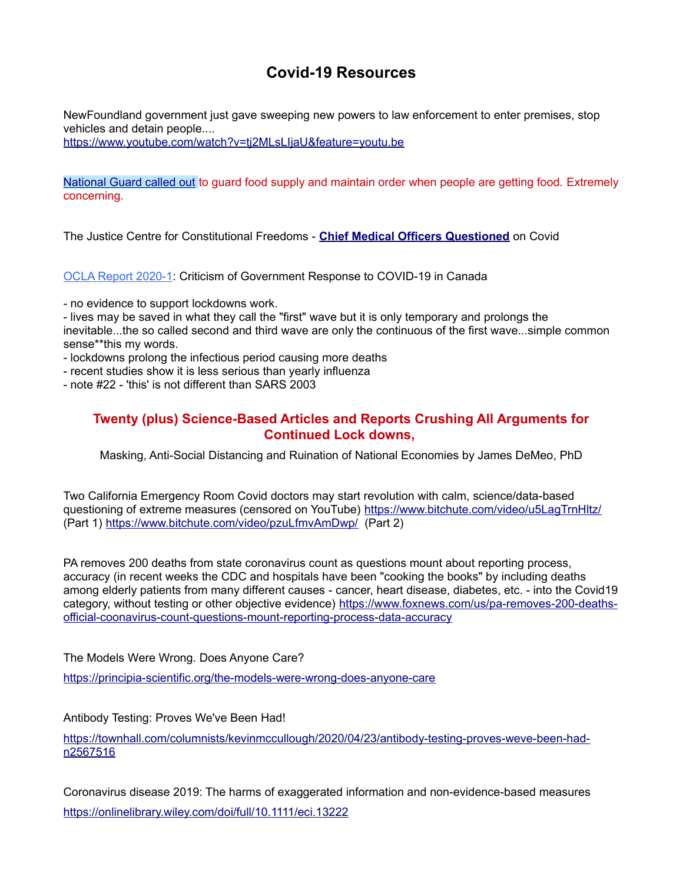## **Covid-19 Resources**

NewFoundland government just gave sweeping new powers to law enforcement to enter premises, stop vehicles and detain people....

<https://www.youtube.com/watch?v=tj2MLsLIjaU&feature=youtu.be>

[National Guard called out](https://www.naturalblaze.com/2020/04/breaking-pentagon-deploys-ai-to-control-food-supply.html) to guard food supply and maintain order when people are getting food. Extremely concerning.

The Justice Centre for Constitutional Freedoms - **[Chief Medical Officers Questioned](https://www.jccf.ca/court_cases/letters-to-chief-medical-officers-regarding-lockdowns-adverse-health-impacts/)** on Covid

[OCLA Report 2020-1:](https://www.researchgate.net/publication/340738912_OCLA_Report_2020-1_Criticism_of_Government_Response_to_COVID-19_in_Canada) Criticism of Government Response to COVID-19 in Canada

- no evidence to support lockdowns work.

- lives may be saved in what they call the "first" wave but it is only temporary and prolongs the inevitable...the so called second and third wave are only the continuous of the first wave...simple common sense\*\*this my words.

- lockdowns prolong the infectious period causing more deaths

- recent studies show it is less serious than yearly influenza

- note #22 - 'this' is not different than SARS 2003

## **Twenty (plus) Science-Based Articles and Reports Crushing All Arguments for Continued Lock downs,**

Masking, Anti-Social Distancing and Ruination of National Economies by James DeMeo, PhD

Two California Emergency Room Covid doctors may start revolution with calm, science/data-based questioning of extreme measures (censored on YouTube)<https://www.bitchute.com/video/u5LagTrnHltz/> (Part 1)<https://www.bitchute.com/video/pzuLfmvAmDwp/>(Part 2)

PA removes 200 deaths from state coronavirus count as questions mount about reporting process, accuracy (in recent weeks the CDC and hospitals have been "cooking the books" by including deaths among elderly patients from many different causes - cancer, heart disease, diabetes, etc. - into the Covid19 category, without testing or other objective evidence) [https://www.foxnews.com/us/pa-removes-200-deaths](https://www.foxnews.com/us/pa-removes-200-deaths-official-coonavirus-count-questions-mount-reporting-process-data-accuracy)[official-coonavirus-count-questions-mount-reporting-process-data-accuracy](https://www.foxnews.com/us/pa-removes-200-deaths-official-coonavirus-count-questions-mount-reporting-process-data-accuracy)

The Models Were Wrong. Does Anyone Care?

<https://principia-scientific.org/the-models-were-wrong-does-anyone-care>

Antibody Testing: Proves We've Been Had!

[https://townhall.com/columnists/kevinmccullough/2020/04/23/antibody-testing-proves-weve-been-had](https://townhall.com/columnists/kevinmccullough/2020/04/23/antibody-testing-proves-weve-been-had-n2567516)[n2567516](https://townhall.com/columnists/kevinmccullough/2020/04/23/antibody-testing-proves-weve-been-had-n2567516)

Coronavirus disease 2019: The harms of exaggerated information and non-evidence-based measures <https://onlinelibrary.wiley.com/doi/full/10.1111/eci.13222>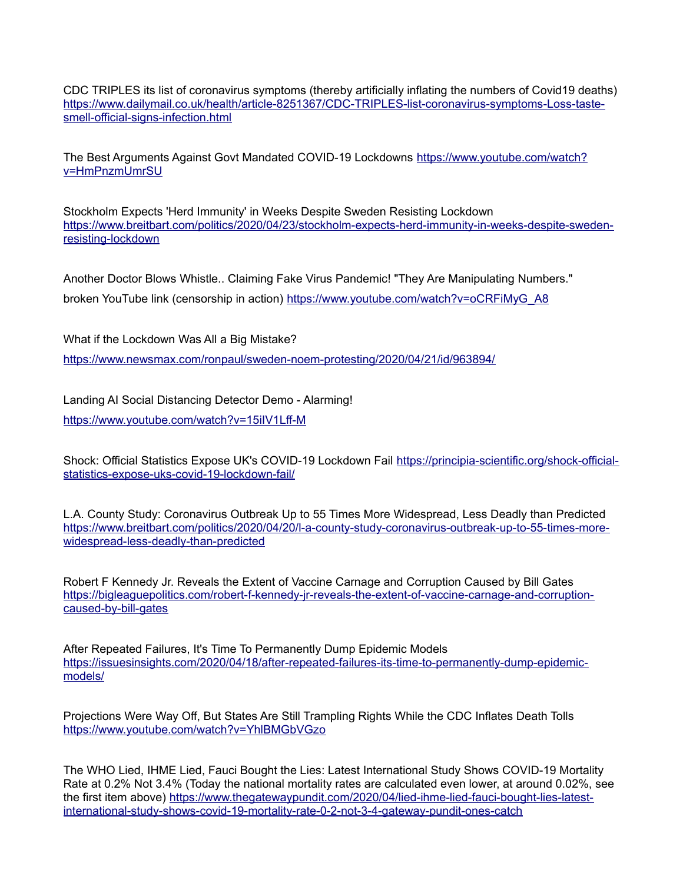CDC TRIPLES its list of coronavirus symptoms (thereby artificially inflating the numbers of Covid19 deaths) [https://www.dailymail.co.uk/health/article-8251367/CDC-TRIPLES-list-coronavirus-symptoms-Loss-taste](https://www.dailymail.co.uk/health/article-8251367/CDC-TRIPLES-list-coronavirus-symptoms-Loss-taste-smell-official-signs-infection.html)[smell-official-signs-infection.html](https://www.dailymail.co.uk/health/article-8251367/CDC-TRIPLES-list-coronavirus-symptoms-Loss-taste-smell-official-signs-infection.html)

The Best Arguments Against Govt Mandated COVID-19 Lockdowns [https://www.youtube.com/watch?](https://www.youtube.com/watch?v=HmPnzmUmrSU) [v=HmPnzmUmrSU](https://www.youtube.com/watch?v=HmPnzmUmrSU)

Stockholm Expects 'Herd Immunity' in Weeks Despite Sweden Resisting Lockdown [https://www.breitbart.com/politics/2020/04/23/stockholm-expects-herd-immunity-in-weeks-despite-sweden](https://www.breitbart.com/politics/2020/04/23/stockholm-expects-herd-immunity-in-weeks-despite-sweden-resisting-lockdown)[resisting-lockdown](https://www.breitbart.com/politics/2020/04/23/stockholm-expects-herd-immunity-in-weeks-despite-sweden-resisting-lockdown)

Another Doctor Blows Whistle.. Claiming Fake Virus Pandemic! "They Are Manipulating Numbers." broken YouTube link (censorship in action) [https://www.youtube.com/watch?v=oCRFiMyG\\_A8](https://www.youtube.com/watch?v=oCRFiMyG_A8)

What if the Lockdown Was All a Big Mistake?

<https://www.newsmax.com/ronpaul/sweden-noem-protesting/2020/04/21/id/963894/>

Landing AI Social Distancing Detector Demo - Alarming! <https://www.youtube.com/watch?v=15iIV1Lff-M>

Shock: Official Statistics Expose UK's COVID-19 Lockdown Fail [https://principia-scientific.org/shock-official](https://principia-scientific.org/shock-official-statistics-expose-uks-covid-19-lockdown-fail/)[statistics-expose-uks-covid-19-lockdown-fail/](https://principia-scientific.org/shock-official-statistics-expose-uks-covid-19-lockdown-fail/)

L.A. County Study: Coronavirus Outbreak Up to 55 Times More Widespread, Less Deadly than Predicted [https://www.breitbart.com/politics/2020/04/20/l-a-county-study-coronavirus-outbreak-up-to-55-times-more](https://www.breitbart.com/politics/2020/04/20/l-a-county-study-coronavirus-outbreak-up-to-55-times-more-widespread-less-deadly-than-predicted)[widespread-less-deadly-than-predicted](https://www.breitbart.com/politics/2020/04/20/l-a-county-study-coronavirus-outbreak-up-to-55-times-more-widespread-less-deadly-than-predicted)

Robert F Kennedy Jr. Reveals the Extent of Vaccine Carnage and Corruption Caused by Bill Gates [https://bigleaguepolitics.com/robert-f-kennedy-jr-reveals-the-extent-of-vaccine-carnage-and-corruption](https://bigleaguepolitics.com/robert-f-kennedy-jr-reveals-the-extent-of-vaccine-carnage-and-corruption-caused-by-bill-gates)[caused-by-bill-gates](https://bigleaguepolitics.com/robert-f-kennedy-jr-reveals-the-extent-of-vaccine-carnage-and-corruption-caused-by-bill-gates)

After Repeated Failures, It's Time To Permanently Dump Epidemic Models [https://issuesinsights.com/2020/04/18/after-repeated-failures-its-time-to-permanently-dump-epidemic](https://issuesinsights.com/2020/04/18/after-repeated-failures-its-time-to-permanently-dump-epidemic-models/)[models/](https://issuesinsights.com/2020/04/18/after-repeated-failures-its-time-to-permanently-dump-epidemic-models/)

Projections Were Way Off, But States Are Still Trampling Rights While the CDC Inflates Death Tolls <https://www.youtube.com/watch?v=YhlBMGbVGzo>

The WHO Lied, IHME Lied, Fauci Bought the Lies: Latest International Study Shows COVID-19 Mortality Rate at 0.2% Not 3.4% (Today the national mortality rates are calculated even lower, at around 0.02%, see the first item above) [https://www.thegatewaypundit.com/2020/04/lied-ihme-lied-fauci-bought-lies-latest](https://www.thegatewaypundit.com/2020/04/lied-ihme-lied-fauci-bought-lies-latest-international-study-shows-covid-19-mortality-rate-0-2-not-3-4-gateway-pundit-ones-catch)[international-study-shows-covid-19-mortality-rate-0-2-not-3-4-gateway-pundit-ones-catch](https://www.thegatewaypundit.com/2020/04/lied-ihme-lied-fauci-bought-lies-latest-international-study-shows-covid-19-mortality-rate-0-2-not-3-4-gateway-pundit-ones-catch)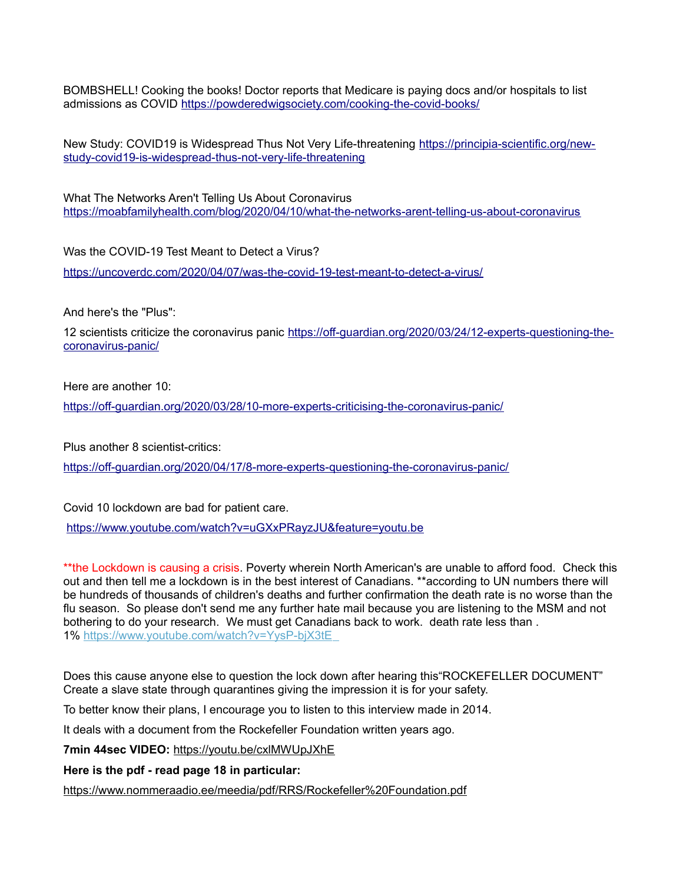BOMBSHELL! Cooking the books! Doctor reports that Medicare is paying docs and/or hospitals to list admissions as COVID<https://powderedwigsociety.com/cooking-the-covid-books/>

New Study: COVID19 is Widespread Thus Not Very Life-threatening [https://principia-scientific.org/new](https://principia-scientific.org/new-study-covid19-is-widespread-thus-not-very-life-threatening)[study-covid19-is-widespread-thus-not-very-life-threatening](https://principia-scientific.org/new-study-covid19-is-widespread-thus-not-very-life-threatening)

What The Networks Aren't Telling Us About Coronavirus <https://moabfamilyhealth.com/blog/2020/04/10/what-the-networks-arent-telling-us-about-coronavirus>

Was the COVID-19 Test Meant to Detect a Virus? <https://uncoverdc.com/2020/04/07/was-the-covid-19-test-meant-to-detect-a-virus/>

And here's the "Plus":

12 scientists criticize the coronavirus panic [https://off-guardian.org/2020/03/24/12-experts-questioning-the](https://off-guardian.org/2020/03/24/12-experts-questioning-the-coronavirus-panic/)[coronavirus-panic/](https://off-guardian.org/2020/03/24/12-experts-questioning-the-coronavirus-panic/)

Here are another 10:

<https://off-guardian.org/2020/03/28/10-more-experts-criticising-the-coronavirus-panic/>

Plus another 8 scientist-critics:

<https://off-guardian.org/2020/04/17/8-more-experts-questioning-the-coronavirus-panic/>

Covid 10 lockdown are bad for patient care.

<https://www.youtube.com/watch?v=uGXxPRayzJU&feature=youtu.be>

\*\*the Lockdown is causing a crisis. Poverty wherein North American's are unable to afford food. Check this out and then tell me a lockdown is in the best interest of Canadians. \*\*according to UN numbers there will be hundreds of thousands of children's deaths and further confirmation the death rate is no worse than the flu season. So please don't send me any further hate mail because you are listening to the MSM and not bothering to do your research. We must get Canadians back to work. death rate less than . 1%<https://www.youtube.com/watch?v=YysP-bjX3tE>

Does this cause anyone else to question the lock down after hearing this"ROCKEFELLER DOCUMENT" Create a slave state through quarantines giving the impression it is for your safety.

To better know their plans, I encourage you to listen to this interview made in 2014.

It deals with a document from the Rockefeller Foundation written years ago.

**7min 44sec VIDEO:** <https://youtu.be/cxlMWUpJXhE>

**Here is the pdf - read page 18 in particular:**

<https://www.nommeraadio.ee/meedia/pdf/RRS/Rockefeller%20Foundation.pdf>